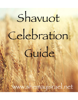# Shavuot Celebration

Guide

www.shemayisrael.net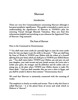# Shavuot

### Introduction

There are very few Commandments concerning Shavuot although it has great prophetic significance. This guide is intended to assist you in understanding the significance of Shavuot in YHWH's plan for restoring Yisrael through Messiah Yahushua. May you find this information helpful and enriching as you rehearse the Appointed Time of Shavuot. Hag sameach!

### The Feast of Shavuot

Here is the Command in Deuteronomy:

"*9 You shall count seven weeks for yourself; begin to count the seven weeks from the time you begin to put the sickle to the grain. 10 Then you shall keep the Feast of Weeks to YHWH your Elohim with the tribute of a freewill offering from your hand, which you shall give as YHWH your Elohim blesses you. <sup>11</sup> You shall rejoice before YHWH your Elohim, you and your son and your daughter, your male servant and your female servant, the Levite who is within your gates, the stranger and the fatherless and the widow who are among you, at the place where YHWH your Elohim chooses to make His Name abide. 12 And you shall remember that you were a slave in Egypt, and you shall be careful to observe these statutes.*" Deuteronomy 16:9-12

We read that Shavuot is intimately connected with the counting of weeks.

The emphasis is clearly on weeks and sevens. That is why this Feast is called Shavuot – it is the plural form of seven and week which in Hebrew is "shavua".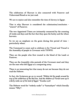The celebration of Shavuot is also connected with Passover and Unleavened Bread as we just read.

We are to rejoice and also remember the time of slavery in Egypt.

That is why Shavuot is considered the culmination/conclusion - "atzeret" of Passover.

The two Appointed Times are intimately connected by the counting of weeks and days and the fact that they span the barley and the wheat harvests.

So we see an emphasis on the grain during this period of time – particularly wheat.

The Command to count and to celebrate is for Yisrael and Yisrael is the Assembly of people in Covenant with YHWH.

They are the people who first trusted in the blood of the Lamb at Passover.

They are the Assembly who partook of the Covenant meal and they are the ones who left Egypt as a conquering army.

There is an interesting fact that many do not see because they do not read the Hebrew.

In fact, the Scriptures go on to record: "*Elohim led the people around by way of the wilderness of the Red Sea. And the children of Yisrael went up in orderly ranks out of the land of Egypt*." Exodus 13:18

The Hebrew word for "orderly ranks" is "hamashym" which literally means: "fifty".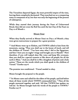The Yisraelites departed Egypt, the most powerful empire of the time, leaving them completely decimated. They marched out as a conquering army in companies of 50, but that was only the beginning of the process of redemption.

While they started their journey during the Feast of Unleavened Bread, they did not cross the Red Sea until the last Day of the Feast on Day 21 of Month 1.

# Mount Sinai

When they finally arrived at Mount Sinai on Day 5 of Month 3 they were given instructions to prepare for a great promise.

"3 And Moses went up to Elohim, and YHWH called to him from the mountain, saying, 'Thus you shall say to the house of Jacob, and tell the children of Yisrael: <sup>4</sup> You have seen what I did to the Egyptians, and *how* I bore you on eagles' wings and brought you to Myself. <sup>5</sup> Now therefore, if you will indeed obey My voice and keep My covenant, then you shall be a special treasure to Me above all people; for all the earth*is* Mine.  $^6$  And you shall be to Me a kingdom of priests and a holy nation.' These *are* the words which you shall speak to the children of Yisrael." Exodus 19:3-6

The promise was conditional - Yisrael needed to obey.

Moses brought the proposal to the people.

"7 So Moses came and called for the elders of the people, and laid before them all these words which YHWH commanded him. <sup>8</sup> Then all the people answered together and said, 'All that YHWH has spoken we will do.' So Moses brought back the words of the people to YHWH." Exodus 19:7-8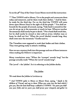So on the 48<sup>th</sup> Day of the Omer Count Moses received this instruction:

 $\mathrm{``}$  Then YHWH said to Moses, 'Go to the people and consecrate them today and tomorrow, and let them wash their clothes. " And let them be ready for the third day. For on the third day YHWH will come down upon Mount Sinai in the sight of all the people. <sup>12</sup> You shall set bounds for the people all around, saying, 'Take heed to yourselves *that* you do *not* go up to the mountain or touch its base. Whoever touches the mountain shall surely be put to death. 13 Not a hand shall touch him, but he shall surely be stoned or shot *with an arrow;* whether man or beast, he shall not live.' When the yovel (shofar) sounds long, they shall come near the mountain." Exodus 19:10-13

The Yisraelites were supposed to wash their bodies and their clothes. They were getting ready to attend a wedding.

Here we see a mystery built into this passage and one of those instances when reading the Hebrew is important.

Many translations state "When the 'trumpet' sounds long" but the passage actually reads "When the 'yovel' sounds long".

The 'yovel' = the 'jubilee'. So it is referring to the Jubilee shofar.

# The Jubilee

We read about the Jubilee in Leviticus 25:

<sup>41</sup> And YHWH spoke to Moses on Mount Sinai, saying, <sup>2</sup> Speak to the *children of Yisrael, and say to them: When you come into the land which I give you, then the land shall keep a sabbath to YHWH. <sup>3</sup>Six years you shall sow your field, and six years you shall prune your vineyard, and gather its*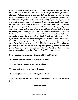*fruit; <sup>4</sup> but in the seventh year there shall be a sabbath of solemn rest for the land, a sabbath to YHWH. You shall neither sow your field nor prune your vineyard. <sup>5</sup> What grows of its own accord of your harvest you shall not reap, nor gather the grapes of your untended vine, for it is a year of rest for the land.*  <sup>6</sup> And the sabbath produce of the land shall be food for you: for you, your male *and female servants, your hired man, and the stranger who dwells with you, <sup>7</sup> for your livestock and the beasts that are in your land - all its produce shall be for food. <sup>8</sup> And you shall count seven sabbaths of years for yourself, seven times seven years; and the time of the seven sabbaths of years shall be to you forty-nine years. <sup>9</sup> Then you shall cause the shofar of the Jubilee to sound on the tenth day of the seventh month; on the Day of Atonement you shall make the shofar to sound throughout all your land. 10 And you shall consecrate the fiftieth year, and proclaim liberty throughout all the land to all its inhabitants. It shall be a Jubilee for you; and each of you shall return to his possession, and each of you shall return to his family. 11 That fiftieth year shall be a Jubilee to you; in it you shall neither sow nor reap what grows of its own accord, nor gather the grapes of your untended vine. 12 For it is the Jubilee; it shall be holy to you; you shall eat its produce from the field.*" Leviticus 25:1-12

So we can see a connection with the Jubilee and Shavuot.

We counted seven sevens to arrive at Shavuot.

We count seven sevens to get to the Jubilee.

We counted 50 days to arrive at Shavuot.

We count 50 years to arrive at the Jubilee Year.

As we continue we will see an even more amazing connection with the Jubilee.

# Sinai continued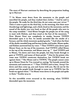The story of Shavuot continues by describing the preparation leading up to Shavuot:

"<sup>14</sup> So Moses went down from the mountain to the people and sanctified the people, and they washed their clothes.<sup>15</sup> And he said to the people, 'Be ready for the third day; do not come near *your* wives.' 16 Then it came to pass on the third day, in the morning, that there were thunderings and lightnings, and a thick cloud on the mountain; and the sound of the shofar was very loud, so that all the people who *were* in the camp trembled. 17 And Moses brought the people out of the camp to meet with Elohim, and they stood at the foot of the mountain.<sup>18</sup> Now Mount Sinai *was* completely in smoke, because YHWH descended upon it in fire. Its smoke ascended like the smoke of a furnace, and the whole mountain quaked greatly. 19 And when the blast of the shofar sounded long and became louder and louder, Moses spoke, and Elohim answered him by voice.<sup>20</sup> Then YHWH came down upon Mount Sinai, on the top of the mountain. And YHWH called Moses to the top of the mountain, and Moses went up. 21 And YHWH said to Moses, 'Go down and warn the people, lest they break through to gaze at YHWH, and many of them perish.<sup>22</sup> Also let the priests who come near YHWH consecrate themselves, lest YHWH break out against them.' <sup>23</sup> But Moses said to YHWH, 'The people cannot come up to Mount Sinai; for You warned us, saying, 'Set bounds around the mountain and consecrate it.' 24 Then YHWH said to him, 'Away! Get down and then come up, you and Aaron with you. But do not let the priests and the people break through to come up to YHWH, lest He break out against them.'  $^{\text{25}}$  So Moses went down to the people and spoke  $^{\text{2}}$ to them." Exodus 19:14-25

So this incredible event occurred in the morning, when YHWH descended upon the mountain.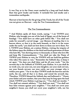It was Day 50 in the Omer count marked by a long and loud shofar blast that grew louder and louder. It included fire and smoke and a tremendous earthquake.

Shavuot is best known for the giving of the Torah, but all of the Torah was not given on Shavuot – only the Ten Commandments.

### The Ten Commandments

"1 And Elohim spoke all these words, saying: <sup>2</sup> I *am* YHWH your Elohim, who brought you out of the land of Egypt, out of the house of bondage. 3 You shall have no other gods before Me. 4 You shall not make for yourself a carved image - any likeness *of anything* that *is* in heaven above, or that *is* in the earth beneath, or that *is* in the water under the earth; <sup>5</sup> you shall not bow down to them nor serve them. For I, YHWH your Elohim, *am* a jealous Elohim, visiting the iniquity of the fathers upon the children to the third and fourth *generations* of those who hate Me, 6 but showing mercy to thousands, to those who love Me and keep My Commandments. <sup>7</sup> You shall not take the Name of YHWH your Elohim in vain, for YHWH will not hold *him* guiltless who takes His name in vain.  $^8$  Remember the Sabbath day, to keep it set apart. <sup>9</sup> Six days you shall labor and do all your work, <sup>10</sup> but the seventh day *is* the Sabbath of YHWH your Elohim. *In it* you shall do no work: you, nor your son, nor your daughter, nor your male servant, nor your female servant, nor your cattle, nor your stranger who *is* within your gates. 11 For *in* six days YHWH made the heavens and the earth, the sea, and all that *is* in them, and rested the seventh day. Therefore, YHWH blessed the Sabbath day and hallowed it.<sup>12</sup> Honor your father and your mother, that your days may be long upon the land which YHWH your Elohim is giving you.<sup>13</sup> You shall not murder.<sup>14</sup> You shall not commit adultery.<sup>15</sup> You shall not steal.<sup>16</sup> You shall not bear false witness against your neighbor. 17 You shall not covet your neighbor's house; you shall not covet your neighbor's wife, nor his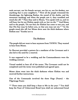male servant, nor his female servant, nor his ox, nor his donkey, nor anything that *is* your neighbor's. 18 Now all the people witnessed the thunderings, the lightning flashes, the sound of the shofar, and the mountain smoking; and when the people saw *it,* they trembled and stood afar off. 19 Then they said to Moses, 'You speak with us, and we will hear; but let not Elohim speak with us, lest we die.' 20 And Moses said to the people, 'Do not fear; for Elohim has come to test you, and that His fear may be before you, so that you may not sin."  $21$  So the people stood afar off, but Moses drew near the thick darkness where Elohim *was."* Exodus 20:1-21

### The Mediator

The people did not want to hear anymore from YHWH. They wanted to hear from Moses.

So Shavuot provided a pattern for a mediator of the Covenant and it also led to the need for a renewal.

It was supposed to be a wedding and the Commandments were the wedding contract.

Yisrael needed to hear all of the terms. The Covenant could not be completed until the terms were published and agreed upon.

Moses alone went into the thick darkness where Elohim was and received further instructions.

One of the Commands involved the three Hags (Feasts) – the Pilgrimage Feasts

 $14$  Three times you shall keep a feast to Me in the year:  $15$  You shall keep the Feast of Unleavened Bread (you shall eat unleavened bread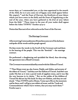seven days, as I commanded you, at the time appointed in the month of the Abib, for in it you came out of Egypt; none shall appear before Me empty); <sup>16</sup> and the Feast of Harvest, the firstfruits of your labors which you have sown in the field; and the Feast of Ingathering at the end of the year, when you have gathered in *the fruit of* your labors from the field.<sup>17</sup> Three times in the year all your males shall appear before the Adon YHWH." Exodus 23:14-17

Notice that Shavuot is first referred to as the Feast of the Harvest.

# The Marriage Covenant

After receiving Commandments, Moses then came out of the darkness and spoke all the words and the people agreed.

He then wrote the words in the Scroll of the Covenant and read them in the hearing of the people. This was the "ketubah" – the marriage contract.

He performed a slaughtering and sprinkled the blood, thus elevating the agreement into a Blood Covenant.

The Covenant was memorialized by a meal with the Elders of Yisrael.

"<sup>9</sup> Then Moses went up, also Aaron, Nadab, and Abihu, and seventy of the elders of Yisrael, 10 and they saw the Elohim of Yisrael. And *there was* under His feet as it were a paved work of sapphire stone, and it was like the very heavens in *its* clarity. <sup>II</sup> But on the nobles of the children of Yisrael He did not lay His hand. So they saw Elohim, and they ate and drank. 12 Then YHWH said to Moses, 'Come up to Me on the mountain and be there; and I will give you tablets of stone, and the Torah and Commandments which I have written, that you may teach them.'" Exodus 24:9-12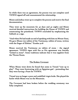So while there was an agreement, the process was not complete until YHWH signed off and consummated the relationship.

Moses and Joshua went up to complete the process and receive the final documentation.

They went up the mountain for 40 days and 40 nights and Moses received detailed instructions for building the House of YHWH and consecrating the priesthood. YHWH concluded by emphasizing the Sabbath as a sign.

"And when He had made an end of speaking with him on Mount Sinai, He gave Moses two tablets of the Testimony, tablets of stone, written with the finger of Elohim." Exodus 31:18

Moses received the Testimony on tablets of stone – the signed agreement. YHWH signs with fire so His agreement was literally "etched in stone". Some traditions indicate that it was sapphire from the Throne Room.

### The Broken Covenant

When Moses went down he found that some in Yisrael "rose up to play". They were fornicating with an Egyptian god – pretending that they were having a Feast for YHWH.

Yisrael was no longer a pure and undefiled virgin bride. She played the harlot while Moses was on the Mountain.

The Covenant had been broken before the wedding ceremony was fully completed.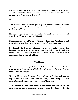Instead of building the marital residence and moving in together, YHWH needed to determine whether He would start over with Moses or renew the Covenant with Yisrael.

Moses intervened for a renewal.

That renewal involved Moses going up and down the mountain 2 more 40 day periods. All tolled – He spent 120 days on the mountain as a mediator for Yisrael.

He came down with a second set of tablets that he had to carve out of stone himself, but written by YHWH.

Moses came down on Day 10 of Month 7 which was Yom Kippur and some also believe that it was the First Day of the Jubilee Year.

So through the Shavuot rehearsal we see a complete connection between the so-called Spring Feasts and the Fall Feasts through the renewal of the Covenant and we see that all pointing to a final restoration in the Year of Jubilee.

# The Helper

We also see an amazing fulfillment of the Shavuot rehearsal after the resurrection and Ascension of Yahushua who promised that the Father would send the Helper.

"But the Helper, the Set Apart Spirit, whom the Father will send in My Name, He will teach you all things, and bring to your remembrance all things that I said to you." John 14:26

"<sup>8</sup> And when He has come, He will convict the world of sin, and of righteousness, and of judgment: <sup>9</sup> of sin, because they do not believe in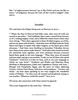Me; 10 of righteousness, because I go to My Father and you see Me no more; 11 of judgment, because the ruler of this world is judged." John 16:8-10

### Jerusalem

We read about the Helper being sent on Shavuot in Acts 2

" When the Day of Shavuot had fully come, they were all with one accord in one place.<sup>2</sup> And suddenly there came a sound from heaven, as of a rushing mighty wind, and it filled the whole house where they were sitting.<sup>3</sup> Then there appeared to them divided tongues, as of fire, and *one* sat upon each of them. 4 And they were all filled with the Holy Spirit and began to speak with other tongues, as the Spirit gave them utterance. 5 And there were dwelling in Jerusalem Yahudim, devout men, from every nation under heaven.  $^6$  And when this sound occurred, the multitude came together, and were confused, because everyone heard them speak in his own language. <sup>7</sup> Then they were all amazed and marveled, saying to one another, "Look, are not all these who speak Galileans? <sup>8</sup> And how *is it that* we hear, each in our own language in which we were born? <sup>9</sup> Parthians and Medes and Elamites, those dwelling in Mesopotamia, Judea and Cappadocia, Pontus and Asia, <sup>10</sup> Phrygia and Pamphylia, Egypt and the parts of Libya adjoining Cyrene, visitors from Rome, both Jews and proselytes, "Cretans and Arabs - we hear them speaking in our own tongues the wonderful works of Elohim. 12 So they were all amazed and perplexed, saying to one another, 'Whatever could this mean?'" Acts 2:1-12

Of course, the connection with Sinai cannot be ignored.

This event happened on the same day – Shavuot.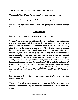The "sound from heaven", the "wind" and the "fire".

The people "heard" and "understood" in their own language.

So this was about language and all people hearing Elohim.

Instead of using the voice of a shofar, the Spirit gave utterance through the voices of men.

### The Prophets

Peter then stood up to explain what was happening.

 $14$  But Peter, standing up with the eleven, raised his voice and said to them, Men of Judea and all who dwell in Jerusalem, let this be known to you, and heed my words. 15 For these are not drunk, as you suppose, since it is *only* the third hour of the day.<sup>16</sup> But this is what was spoken by the prophet Joel: 17 *And it shall come to pass in the last days (afterward), says Elohim, that I will pour out of My Spirit on all flesh; Your sons and your daughters shall prophesy, Your young men shall see visions, Your old men shall dream dreams.*  18 *And on My menservants and on My maidservants I will pour out My Spirit in those days; and they shall prophesy.*  19 *I will show wonders in heaven above and signs in the earth beneath: blood and fire and vapor of smoke.* 20 *The sun shall be turned into darkness, and the moon into blood, before the coming of the great and awesome day of YHWH*. 21 *And it shall come to pass* t*hat whoever calls on the Name of YHWH* s*hall be saved."* Acts 2:14- 21

Peter is quoting Joel referring to a great outpouring before the coming Day of YHWH.

Those in Jerusalem experienced an outpouring before the judgment that was later rendered by the Romans, which was a "Day of YHWH" event.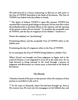We look forward to a future outpouring on Shavuot as well, prior to the Day of YHWH described in the Book of Revelation. The Day of YHWH was linked with the Jubilee in Isaiah.

"1 The Spirit of Adonai YHWH *is* upon Me, because YHWH has anointed Me to preach good tidings to the poor; He has sent Me to heal the brokenhearted, to proclaim liberty to the captives, and the opening of the prison to *those who are* bound; 2 To proclaim the acceptable year of YHWH, and the day of vengeance of our Elohim." Isaiah 61:1-2

Notice the emphasis on "proclaiming."

Proclaiming liberty and the acceptable Year of YHWH refers to the Jubilee year.

Proclaiming the day of vengeance refers to the Day of YHWH.

So we anticipate the Day of YHWH being linked to a Jubilee Year.

When Yisrael was brought out from judgment in Egypt and to the Land of Promise, it was supposed to occur all in the same year. So we look forward to being restored to the Land through a process of judgment and deliverance in a future year, as described in the Book of Revelation.

# The Messiah

Yahushua hinted of His part in that process when He read part of that portion as recorded in Luke 4:16-21

"<sup>16</sup> So He came to Nazareth, where He had been brought up. And as His custom was, He went into the synagogue on the Sabbath day, and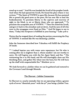stood up to read. <sup>17</sup> And He was handed the Scroll of the prophet Isaiah. And when He had opened the Scroll, He found the place where it was written: 18 'The Spirit of YHWH is upon Me, because He has anointed Me to preach the good news to the poor; He has sent Me to heal the brokenhearted, To proclaim liberty to the captives and recovery of sight to the blind, to set at liberty those who are oppressed;  $19$  To proclaim the acceptable year of YHWH.' 20 Then He closed the Scroll, and gave it back to the attendant and sat down. And the eyes of all who were in the synagogue were fixed on Him.<sup>21</sup> And He began to say to them, 'Today this Scripture is fulfilled in your hearing.'" Luke 4:16-21

Notice that he stopped short of reading the portion concerning the Day of YHWH. It seemed like He was declaring a Jubilee.

John the Immerser described how Yahushua will fulfill the Prophecy of Isaiah.

"<sup>I</sup> I indeed baptize you with water unto repentance, but He who is coming after me is mightier than I, whose sandals I am not worthy to carry. He will baptize you with the Set Apart Spirit and fire.<sup>12</sup> His winnowing fan *is* in His hand, and He will thoroughly clean out His threshing floor, and gather His wheat into the barn; but He will burn up the chaff with unquenchable fire." Matthew 3:11-12

We look forward to a Jubilee when we can be gathered and restored to the Covenant Land through Messiah.

# The Shavuot – Jubilee Connection

So Shavuot is a yearly reminder that we are operating within a greater cycle of seven "shemitah years" with the  $50<sup>th</sup>$  year being a Jubilee Year.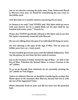Just as we rehearse counting the daily omer, from Unleavened Bread to Shavuot every year, we should be remembering the year count in the Jubilee cycle.

And that leads us to another mystery concerning the 120 years.

In Genesis 6 we read: "And YHWH said, 'My Spirit shall not strive with man forever, for he *is* indeed flesh; yet his days shall be one hundred and twenty years.'" Genesis 6:3

Notice that YHWH specifically referred to His Spirit and we see that His Spirit is intimately connected with Shavuot.

He was not talking about the span of an individual life being 120 years.

He was referring to the span of the Age of Man. The 120 years are Jubilee years (120 x 50 = 6,000 years).

So man would be given 6,000 years until the Sabbath millennium. That was the pattern we saw from the first week of creation.

Just as the Creation of Adam started the Age of Man – we look to the Son of Man, Yahushua the Second Adam, to restore Creation at the 120<sup>th</sup> Jubilee.

So as we go through these rehearsals we are anxiously awaiting the 120<sup>th</sup> Jubilee on Yom Kippur.

And as we celebrate Shavuot we should be considering the 120 days that Moses spent on the mountain after Shavuot, because that ties in with the rest of the Appointed Times.

Moses ultimately lived 120 years and did not enter into the promised land.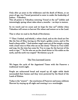Only after 40 years in the wilderness and the death of Moses, at 120 years of age, was Yisrael permitted to enter in under the leadership of Joshua – Yahushua.

This all points to Yahushua restoring Yisrael at the 120<sup>th</sup> Jubilee and interestingly spring wheat takes about 4 months – 120 days to mature.

So we watch and we count and we hope for that 120<sup>th</sup> Jubilee when Yahushua will return to harvest His wheat and restore us to the Land.

That is what we read in the Book of Revelation:

"14 Then I looked, and behold, a white cloud, and on the cloud sat *One* like the Son of Man, having on His head a golden crown, and in His hand a sharp sickle.<sup>15</sup> And another angel came out of the temple, crying with a loud voice to Him who sat on the cloud, "Thrust in Your sickle and reap, for the time has come for You to reap, for the harvest of the earth is ripe." <sup>16</sup> So He who sat on the cloud thrust in His sickle on the earth, and the earth was reaped." Revelation 14:14-16

# The Two Leavened Loaves

We began the cycle of the Appointed Times with the Passover a traditional watch night.

People ate unleavened bread and stayed up all night while death surrounded their homes and they were protected by the blood of the Lamb of Elohim.

Today is the "atzeret" – the conclusion of Passover and many celebrate Shavuot by staying up all night and treating it as a watchnight.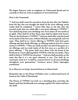We began Passover with an emphasis on Unleavened Bread and we conclude at Shavuot with an emphasis on leavened bread.

Here is the Command:

"<sup>15</sup> And you shall count for yourselves from the day after the Sabbath, from the day that you brought the sheaf of the wave offering: seven weeks shall be completed. <sup>16</sup> Count fifty days to the day after the seventh week; then you shall offer a new grain offering to YHWH.<sup>17</sup> You shall bring from your dwellings two wave *loaves* of two-tenths *of an ephah.* They shall be of fine flour; they shall be baked with leaven. They are the firstfruits to YHWH.<sup>18</sup> And you shall offer with the bread seven lambs of the first year, without blemish, one young bull, and two rams. They shall be *as* a burnt offering to YHWH, with their grain offering and their drink offerings, an offering made by fire for a sweet aroma to YHWH. 19 Then you shall sacrifice one kid of the goats as a sin offering, and two male lambs of the first year as a sacrifice of a peace offering. 20 The priest shall wave them with the bread of the firstfruits *as* a wave offering before YHWH, with the two lambs. They shall be holy to YHWH for the priest.<sup>21</sup> And you shall proclaim on the same day *that* it is a set apart rehearsal to you. You shall do no customary work *on it. It shall be* a statute forever in all your dwellings throughout your generations." Leviticus 23:15-21 (from Septuagint translation)

So at Shavuot we bring 2 leavened loaves of wheat bread.

Remember that in the House of Elohim were 12 unleavened loaves of bread on the Table of Showbread.

The House of YHWH was built on a threshing floor and John the Baptist said that the Messiah was coming to gather His wheat and burn the chaff.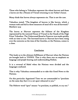Those who belong to Yahushua represent the wheat harvest and those 2 loaves are the 2 Houses of Yisrael returning to our Father's house.

Many think that leaven always represents sin. That is not the case.

Yahushua stated: "The kingdom of heaven is like leaven, which a woman took and hid in three measures of meal till it was all leavened." Matthew 13:33

The loaves at Shavuot represent the fullness of the Kingdom represented by the restored House of Yisrael in the Hands of the High Priest Yahushua. The Unleavened Bread at Passover was made quickly with no time to rise. The leavened loaves at Shavuot have been rising over the centuries as the time of the Gentiles, or the Nations, comes to a close.

### Conclusion

This leads us to the ultimate fulfillment of Shavuot when the Nations are brought back to YHWH. That is why there was an emphasis on language and people hearing and understanding Elohim.

It is a reversal of Babel when the Nations were divided and the languages confused.

That is why Yahushua commanded us to take this Good News to the Nations.

On this particular Appointed Time we are commanded to "proclaim on the same day that it is a set apart rehearsal to you."

The Hebrew word "qara" means: "to proclaim, to publish, to cry out."